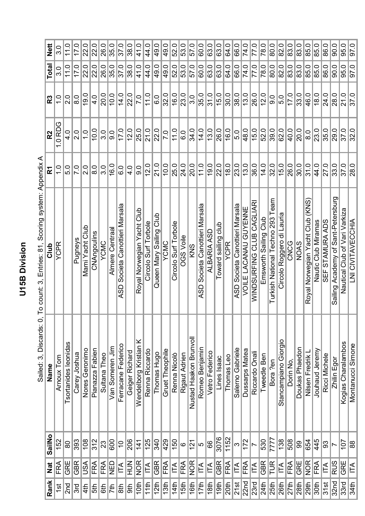U15B Division **U15B Division**

| Nett           | .<br>೧        | 11.0                 | 17.0              | 22.0            | 22.0            | 26.0            | 35.0            | 37.0                                     | 38.0           | 41.0                       | 44.0                      | 49.0                    | 49.0             | 52.0                   | 53.0             | 57.0                                  | 60.0                              | 0<br>63.        | 63.0                | 64.0        | 66.0                                     | 74.0                  | 77.0                     | 78.0                     | 80.0                                 | 82.0                      | 83.0      | 83.0           | 85.0                                        | 0<br>85.            | 0<br>86.                         | 90.0                                  | 95.0                          | 97.0                     |
|----------------|---------------|----------------------|-------------------|-----------------|-----------------|-----------------|-----------------|------------------------------------------|----------------|----------------------------|---------------------------|-------------------------|------------------|------------------------|------------------|---------------------------------------|-----------------------------------|-----------------|---------------------|-------------|------------------------------------------|-----------------------|--------------------------|--------------------------|--------------------------------------|---------------------------|-----------|----------------|---------------------------------------------|---------------------|----------------------------------|---------------------------------------|-------------------------------|--------------------------|
| Total          | .<br>೧        | 11.0                 | 17.0              | 22.0            | 22.0            | 26.0            | 35.0            | 37.0                                     | 38.0           | 41.0                       | 44.0                      | 49.0                    | 49.0             | 52.0                   | 53.0             | 57.0                                  | 60.0                              | 63.0            | 63.0                | 64.0        | 66.0                                     | 74.0                  | 77.0                     | 78.0                     | 80.0                                 | 82.0                      | 83.0      | 83.0           | 85.0                                        | 85.0                | 86.0                             | 90.0                                  | 95.0                          | $\frac{1}{9}$            |
| R3             | $\frac{0}{1}$ | o<br>N               | $\frac{0}{8}$     | 19.0            | 4.0             | 20.0            | 10.0            | 14.0                                     | 22.0           | 7.0                        | 11.0                      | 6.0                     | 32.0             | 16.0                   | 23.0             | 3.0                                   | 35.0                              | 31.0            | 15.0                | 30.0        | 38.0                                     | 13.0                  | 26.0                     | 12.0                     | $\frac{1}{9}$                        | ြင                        | 17.0      | 33.0           | 46.0                                        | 18.0                | 24.0                             | 28.0                                  | 21.0                          | 37.0                     |
| R <sub>2</sub> | 1.0 RDG       | $\frac{4}{3}$        | $\frac{0}{2}$     | $\frac{0}{1}$   | 10.0            | 3.0             | $\frac{0}{9}$   | 17.0                                     | 12.0           | 25.0                       | 21.0                      | 22.0                    | $\overline{C}$   | 11.0                   | O.G              | 34.0                                  | 14.0                              | 13.0            | 26.0                | 16.0        | 5.0                                      | 48.0                  | 15.0                     | 52.0                     | 39.0                                 | 62.0                      | 40.0      | 20.0           | <u>ය</u>                                    | 23.0                | 35.0                             | 29.0                                  | 37.0                          | 32.0                     |
| $\bf \Sigma$   | $\frac{0}{1}$ | 5.0                  | $\overline{7}$ .0 | 2.0             | 8.0             | 3.0             | 16.0            | <u>င</u>                                 | 4.0            | 0.6                        | 12.0                      | 21.0                    | 10.0             | 25.0                   | 24.0             | 20.0                                  | 11.0                              | 19.0            | 22.0                | 18.0        | 23.0                                     | 13.0                  | 36.0                     | 14.0                     | 32.0                                 | 15.0                      | 26.0      | 30.0           | 31.0                                        | 44.0                | 27.0                             | 33.0                                  | 37.0                          | $\overline{28.0}$        |
| Club           | <b>YCPR</b>   |                      | Pugneys           | Mami Yacht Club | CNAngoulins     | YCMC            | Almere Centraa  | Societa Canottieri Marsala<br><b>ASD</b> |                | Royal Norwegian Yacht Club | Circolo Surf Torbole      | Queen Mary Sailing Club | YCMC             | Circolo Surf Torbole   | <b>OGS Voile</b> | KNS                                   | Societa Canottieri Marsala<br>ASD | ALBARIA ASD     | Toward sailing club | <b>YCPR</b> | Societa Canottieri Marsala<br><b>ASD</b> | VOILE LACANAU GUYENNE | WINDSURFING CLUB CAGLIAR | Club<br>Emsworth Sailing | eam<br>Turkish National Techno 293 T | Circolo Roggero di Lauria | CNCG      | <b>SVON</b>    | <b>KNS</b><br>Norwegian Yacht Club<br>Royal | Nautic Club Miramas | <b>STAMURA ADS</b><br><b>SEF</b> | Sant-Petersburg<br>Sailing Academy of | Nautical Club of Vari Varkiza | <b>LNI CIVITAVECCHIA</b> |
| Name           | Arnoux Tom    | Tsortanides leonidas | Carey Joshua      | Nores Geronimo  | Pianazza Fabien | Sultana<br>Theo | Van Someren Jim | Ferracane Federico                       | Geiger Richard | ×<br>Wendelborg Kristian   | Renna Riccardo            | Thomas Hugo             | Gruet Theophile  | Renna Nicolò           | Rigaut Adrien    | Nustad Haakon Brunvoll                | Romeo Benjamin                    | Vetro Federico  | Lines Isaac         | Thomas Leo  | Salerno Gabriele                         | Dussarps Matea        | Riccardo Onali           | Tweedle Ben              | Bora ?en                             | Stancampiano Giorgio      | Dorin No, | Doukas Phaedon | Nilsen Fredrik L                            | Jouhaud Jeremy      | Ricci Michele                    | Zhilin Egor                           | Kogias Charalambos            | Montanucci Simone        |
| SailNo         | 152           | 80                   | 393               | 108             | 312             | 23              | 600             | $\tilde{0}$                              | 206            | 141                        | 125                       | 340                     | 429              | 150                    | $\pmb{\circ}$    | $\left  \frac{\mathbf{C}}{2} \right $ | Ю                                 | န္တ             | 3076                | 1152        | S                                        | $\overline{172}$      | $\overline{\phantom{a}}$ | 530                      | 7777                                 | 138                       | 508       | 80             | 654                                         | 445                 | န္တ                              |                                       | $\overline{107}$              | 88                       |
| Nat            | FRA           | GRE                  | <b>GBR</b>        | ASU             | FRA             | FRA             | <b>Q3N</b>      | É                                        | NUH            | <b>NOR</b>                 | $ \widetilde{\mathsf{T}}$ | <b>GBR</b>              | FRA              | $ \tilde{\mathsf{T}} $ | FRA              | <b>NOR</b>                            | ITA                               | $\mathbb{E}$    | <b>GBR</b>          | FRA         | ITA                                      | FRA                   | ÍТА                      | <b>GBR</b>               | <b>TUR</b>                           | $\overline{\Xi}$          | FRA       | GRE            | <b>NOR</b>                                  | FRA                 | $ \tilde{\mathsf{T}}$            | <b>RUS</b>                            | GRE                           | IŘ                       |
| Rank           | $\frac{1}{2}$ | 2 <sub>nd</sub>      | 3rd               | 4th             | 5th             | 6th             | 7th             | 8 <sup>th</sup>                          | 9th            | 10th                       | 11th                      | 12 <sup>th</sup>        | 13 <sup>th</sup> | 14th                   | 15th             | $\overline{16th}$                     | 17th                              | $\frac{180}{1}$ | $\frac{1}{9}$       | 20th        | 21st                                     | 22 <sub>nd</sub>      | 23 <sub>rd</sub>         | 24th                     | 25th                                 | 26th                      | 27th      | 28th           | $\frac{2}{9}$                               | $\frac{1}{30}$      | 31st                             | 32nd                                  | 33 <sub>rd</sub>              | 34th                     |

Sailed: 3, Discards: 0, To count: 3, Entries: 81, Scoring system: Appendix A Sailed: 3, Discards: 0, To count: 3, Entries: 81, Scoring system: Appendix A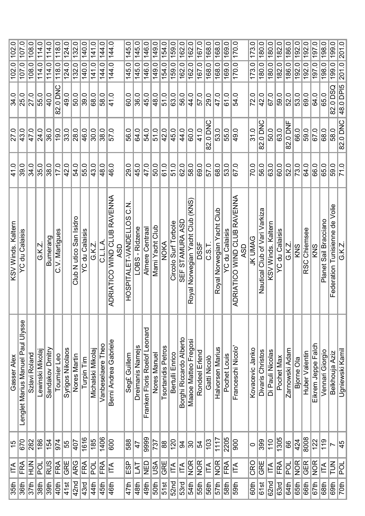| 102.0              | 107.0                             | 108.0         | 114.0            | 114.0           | 0<br>$\frac{1}{2}$ | 124.0            | 0<br>$\overline{132}$   | 140.0             | 141.0               | 0<br>$\frac{4}{4}$ | 144.0                                        | 145.0                | 145.0            | 146.0                            | 149.0           | 154.0              | 159.0                | 162.0                   | 162.0                               | 167.0          | 168.0        | 168.0                         | 169.0                 | 170.0                              | 173.0           | 180.0                         | 180.0              | 182.0                 | 186.0          | Q<br>192.        | 0<br>192.              | 197.0              | 198.0                    | 199.0                          | 201.0           |
|--------------------|-----------------------------------|---------------|------------------|-----------------|--------------------|------------------|-------------------------|-------------------|---------------------|--------------------|----------------------------------------------|----------------------|------------------|----------------------------------|-----------------|--------------------|----------------------|-------------------------|-------------------------------------|----------------|--------------|-------------------------------|-----------------------|------------------------------------|-----------------|-------------------------------|--------------------|-----------------------|----------------|------------------|------------------------|--------------------|--------------------------|--------------------------------|-----------------|
| 102.0              | 107.0                             | 108.0         | 114.0            | 114.0           | 118.0              | 124.0            | 132.0                   | 140.0             | Ò<br>$\frac{41}{3}$ | 144.0              | 144.0                                        | 145.0                | 145.0            | 146.0                            | 149.0           | 54.0               | 59.0                 | 162.0                   | 162.0                               | 167.0          | 168.0        | 168.0                         | 169.0                 | 170.0                              | 173.0           | 180.0                         | 180.0              | 182.0                 | 186.0          | 192.0            | 192.0                  | Ò<br>197           | $\frac{198.0}{ }$        | $\frac{1}{99}$                 | 201.0           |
| 34.0               | 25.0                              | 27.0          | 55.0             | 40.0            | 82.0 DNC           | 49.0             | $\overline{50.0}$       | $\overline{39.0}$ | 68.0                | 58.0               | 41.0                                         | 60.0                 | 36.0             | 45.0                             | 48.0            | 51.0               | 63.0                 | 56.0                    | $\sqrt{44.0}$                       | 57.0           | 29.0         | 47.0                          | 61.0                  | $\frac{54.0}{5}$                   | 72.0            | 42.0                          | 67.0               | 59.0                  | 52.0           | 53.0             | 69.0                   | 64.0               | $\frac{65}{0}$           | $\overline{SO(0)}$<br>82       | 48.0 DPI5       |
| 27.0               | 43.0                              | 47.0          | 24.0             | 36.0            | $\overline{19.0}$  | 33.0             | $\frac{28.0}{ }$        | $\frac{1}{6}$     | 30.0                | 38.0               | 57.0                                         | 56.0                 | 64.0             | 54.0                             | 51.0            | 42.0               | 45.0                 | 44.0                    | $\overline{60.0}$                   | 41.0           | ပ<br>82.0 DN | 53.0                          | 55.0                  | 49.0                               | 31.0            | ပ<br>82.0 DN                  | 50.0               | 63.0                  | 82.0 DNF       | 66.0             | 59.0                   | 67.0               | 68.0                     | 58.0                           | 82.0 DNC        |
| 41.0               | 39.0                              | 34.0          | $\frac{35.0}{ }$ | 38.0            | $\frac{0}{17}$     | 42.0             | $\frac{54.0}{5}$        | 55.0              | 43.0                | 48.0               | 46.0                                         | 29.0                 | 45.0             | 47.0                             | 50.0            | 61.0               | 51.0                 | $\overline{62.0}$       | 58.0                                | 69.0           | 57.0         | 68.0                          | 53.0                  | 67.0                               | 70.0            | 56.0                          | 63.0               | 60.0                  | 52.0           | $\frac{1}{73.0}$ | $\frac{64.0}{5}$       | 66.0               | 65.0                     | 59.0                           | $\frac{10}{71}$ |
| KSV Winds. Kaltern | <b>YC du Calaisis</b>             |               | G.K.Z.           | Bumerang        | C.V. Martigues     |                  | Club N utico San Isidro | du Calaisis<br>Š  | G.K.Z.              | ⋖<br>1.1<br>2      | RAVENNA<br>ADRIATICO WIND CLUB<br><b>ASD</b> | HOSPITALET-VANDELLOS | LOBS - Ridzene   | Almere Centraa                   | Mami Yacht Club | <b>NOKA</b>        | Circolo Surf Torbole | SEF STAMURA ASD         | Norwegian Yacht Club (KNS)<br>Royal | <b>DSSF</b>    | C.S.T        | Club<br>Royal Norwegian Yacht | <b>YC du Calaisis</b> | ADRIATICO WIND CLUB RAVENNA<br>ASD | JK UMAG         | Nautical Club of Vari Varkiza | KSV Winds. Kaltern | <b>YC du Calaisis</b> | G.K.Z          | KNS              | Chiemsee<br><b>RSC</b> | KNS                | Sail Bracciano<br>Planet | Federation Tunisienne de Volie | G.K.Z.          |
| Gasser Alex        | Lenglet Marius Manuel Paul Ulysse | Szlavi Roland | Lewinski Mikolaj | Sandakov Dmitry | Tournier Leo       | Syrigos Nikolaos | Nores Martin            | Turpin Tim        | Michalski Mikola    | Vanbeselaere Theo  | Berni Andrea Gabriele                        | Seg£ Guillem         | Dreimanis Namejs | bueoue-<br>Franken Floris Roelof | Nores Manue     | Tsortanidis Petros | Bertulli Enrico      | Borghi Riccardo Alberto | Maaoe Matteo Fregosi                | Rondeel Erlend | Gatti Nicolò | Halvorsen Marius              | Pochet Louis          | Franceschi Nicolo                  | Kovacevic Janko | Divaris Christos              | Di Pauli Nicolas   | Pochet Max            | Zarnowski Adam | Bjorne Ola       | Huber Valentin         | Eikrem Jeppe Falch | Vennari Giorgio          | Belkhouja Aziz                 | Ugniewski Kamil |
| $\frac{15}{2}$     | 670                               | 282           | 186              | $\frac{154}{5}$ | 974                | 55               | 407                     | $\frac{1616}{1}$  | 185                 | 1406               | 600                                          | 588                  | $\overline{4}$   | 9999                             | 737             | $88$               | 120                  | 3                       | န္တ                                 | 54             | 103          | 1117                          | 2205                  | 900                                | $\circ$         | 399                           | 110                | 1305                  | 66             | 424              | 8008                   | $\overline{122}$   | $\sqrt{19}$              | $\overline{\phantom{0}}$       | 45              |
| $\mathbb{E}$       | FRA                               | ミュエ           | ă                | RUS             | FRA                | <b>JAE</b>       | <b>ARG</b>              | FRA               | ğ                   | FRA                | IΤΑ                                          | ESP<br>E             | 7L               | <b>Q3N</b>                       | ASU             | GRE                | ÉΑ                   | IΤΑ                     | <b>NOR</b>                          | <b>NOR</b>     | É            | <b>NOR</b>                    | FRA                   | É                                  | CRO             | GRE                           | ITA                | FRA                   | no<br>R        | <b>NOR</b>       | <b>GER</b>             | <b>NOR</b>         | É                        | $\overline{\widetilde{\Xi}}$   | ă               |
| 35th               | 36th                              | 37th          | 38 <sub>th</sub> | 39th            | 40th               | $41$ st          | 42nd                    | 43rd              | 44th                | 45th               | 46th                                         | 47th                 | 48th             | 49th                             | 50th            | 51st               | 52 <sub>nd</sub>     | 53rd                    | 54th                                | 55th           | 56th         | 57th                          | 58th                  | $\frac{1}{5}$                      | 60th            | 61st                          | 62 <sub>nd</sub>   | 63rd                  | 64th           | 65 <sup>th</sup> | 66th                   | $rac{1}{67}$       | 68 <sub>th</sub>         | 69 <sub>th</sub>               | $\frac{1}{2}$   |